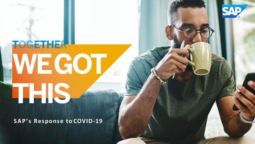

## **TOGETHER** WEGOT LE IS.

**SAP's Response to COVID-19**

**THE REAL PROPERTY AND RELEASED FOR THE RELEASED FOR THE RELEASED FOR THE RELEASED FOR THE RELEASED FOR THE RELEASED FOR THE RELEASED FOR THE RELEASED FOR THE RELEASED FOR THE RELEASED FOR THE RELEASED FOR THE RELEASED FOR** and the contract of the contract of the contract of the contract of the contract of the contract of the contract of the contract of the contract of the contract of the contract of the contract of the contract of the contra

the control of the control of the control of the control of the control of the control of the control of the control of the control of the control of the control of the control of the control of the control of the control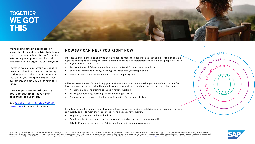## **TOGETHER WE GOT THIS**

We're seeing amazing collaboration across borders and industries to help our world respond and heal. And we're seeing astounding examples of resolve and leadership within organizations likeyours.

Together, we can equip your business to take control amidst the chaos of today so that you can take care of the people that define your company, support your customers, and set you up for your best future.

**Over the past two months, nearly 3 0 0 , 0 0 0 customers have taken advantage of our offers.**

See Practical Help to Tackle [COVID-19](https://www.sap.com/about/global-health-safety.html) [Disruptions](https://www.sap.com/about/global-health-safety.html) for more information.

#### **HOW SAP CAN H E L P YOU R I G H T NOW**

Increase your resilience and ability to quickly adapt to meet the challenges as they come — from supply disruptions, to surging or waning customer demand, to the rapid acceleration or decline in the people you need to run your business day to day.

- Access to the world's largest global commerce network for buyers and suppliers
- Solutions to improve visibility, planning and logistics in your supply chain
- Ability to quickly find essential talent to meet temporary needs

A flexible, versatile workforce will help your business overcome current challenges and define your new future. Help your people get what they need to grow, stay motivated, and emerge even stronger than before.

- Access to on-demand training to support remote working
- Fully digital upskilling, reskilling, and onboarding platforms
- Open online courses on technology and innovation for learners of all ages

Keep track of what is happening with your employees, customers, citizens, distributors, and suppliers, so you can quickly adjust to meet the needs of today and be ready for tomorrow.

- Employee, customer, and brand pulses
- Supplier pulse to have more confidence you will get what you need when you need it
- COVID-19 specific resources for Public Health authorities and governments



⊃

S.

A A LOURBUSINESS -

YOUR

 $\mathbb{R}$ ىن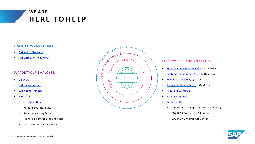

#### STABILIZE YOUR BUSINESS

- SAP [Ariba Discovery](https://my.ariba.com/Discovery)
- SAP Ariba Start [Sourcing](https://www.ariba.com/solutions/solutions-overview/strategic-sourcing/sap-ariba-start-sourcing)

#### SUPPORT YOUR EMPLOYEES

- [OpenSAP](https://open.sap.com/treatments)
- SAP LearningHub
- SAP [Young Thinkers](https://www.sap.com/about/young-thinkers.html)
- SAP [Litmos](https://remote-readiness.litmos.com/global-signup)
- **Remote [Education](https://www.qualtrics.com/here-to-help/#higher-ed-remote)** 
	- Remote Educator Pulse
	- Remote Learning Pulse
	- Higher Ed Remote Learning Pulse
	- K-12 Remote Learning Pulse



#### STEER YOUR CHANGING REALITY

- [Remote](https://www.qualtrics.com/here-to-help/?utm_source=sap&utm_medium=referral&utm_campaign=SAP-remote-work-pulse&utm_content=global-health-safety-page) + On-site Work Pulse by Qualtrics
- Customer [Confidence](https://www.qualtrics.com/back-to-business-customer/) Pulse by Qualtrics
- [Brand](https://www.qualtrics.com/m/assets/wp-content/uploads/2020/04/Brand-Trust-Pulse-overview.pdf) Trust Pulse by Qualtrics
- Supply [Continuity](https://www.ariba.com/programs/supply-continuity-pulse?campaign%20code=CRM-IS20-PRL-OOCWA01) Pulse by Qualtrics
- [Return to Work](https://www.qualtrics.com/back-to-business-employee/) Pulse
- [Frontline](https://www.qualtrics.com/here-to-help/?utm_source=sap&utm_medium=referral&utm_campaign=SAP-remote-work-pulse&utm_content=global-health-safety-page&customer-confidence) Connect
- Public [Health](https://www.qualtrics.com/here-to-help/?utm_source=sap&utm_medium=referral&utm_campaign=SAP-remote-work-pulse&utm_content=global-health-safety-page&pre-screen)
	- COVID-19 Case Reporting and Monitoring
	- COVID-19 Pre-Screen &Routing
	- COVID-19 Dynamic Call Center

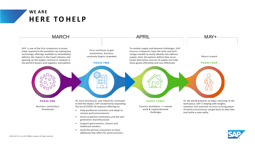

• Invite the partner ecosystem to share additional free offers for jointcustomers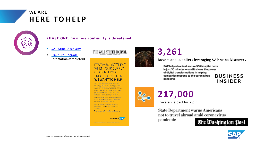### **H E R E TO H E L P WE A R E**



#### **P H A S E ONE: Business continuity is threatened**

- SAP [Ariba Discovery](https://my.ariba.com/Discovery)
- [TripIt Pro Upgrade](https://www.tripit.com/web/blog/2020/03/covid-19-update-extending-tripit-pro-to-help-all-travelers.html)  (promotion completed)



THE WALL STREET JOURNAL.

world, representing over 4 million suppliers in over 190 countries and \$3.21 trillion in commerce, SAP® wants to help ensure that your supply chain remains unbroken. That's why we're opening access to SAP Ariba Discovery: so any buyer can post their immediate sourcing needs, and suppliers can respond with their ability to deliver the goods and services required. With no feesto post, and no fees to respond.

No matter what challenges lie ahead, we'll tackle them the way we always do Together.

To learn more, go to my.ariba.com/Discovery

THE BEST RUN SAP



## **3,261**

Buyers and suppliers leveraging S A P Ariba Discovery

SAP helped a client secure 500 hospital beds in just 30 minutes - and it shows the power of digital transformations in helping companies respond to the coronavirus pandemic

**BUSINESS** INSIDER



## **217,000**

Travelers aided byTripIt

**State Department warns Americans** not to travel abroad amid coronavirus

pandemic



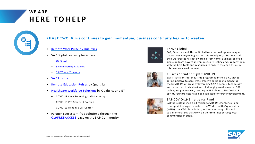

#### **P H A S E TWO: Virus continues to gain momentum, business continuity begins to weaken**

- Remote Work Pulse by [Qualtrics](https://www.qualtrics.com/here-to-help/?utm_source=sap&utm_medium=referral&utm_campaign=SAP-remote-work-pulse&utm_content=global-health-safety-page)
- **SAP Digital Learning Initiatives** 
	- [OpenSAP](https://open.sap.com/treatments)
	- SAP [University Alliances](https://www.sap.com/corporate/en/company/innovation/next-gen-innovation-platform/university-alliances.html)
	- SAP [Young Thinkers](https://www.sap.com/about/young-thinkers.html)
- **SAP [Litmos](https://remote-readiness.litmos.com/global-signup)**
- Remote [Education](https://www.qualtrics.com/here-to-help/#higher-ed-remote) Pulses by Qualtrics
- [Healthcare](https://www.qualtrics.com/here-to-help/#healthcare-workforce) Workforce Solutions by Qualtrics and E Y
	- COVID-19 Case Reporting and Monitoring
	- COVID-19 Pre-Screen &Routing
	- COVID-19 Dynamic Call Center
- Partner Ecosystem free solutions through the [C19FREEACCESS](https://community.sap.com/resources/c19freeaccess) page on the SAP Community



#### Thrive Global

SAP, Qualtrics and Thrive Global have teamed up in a unique data-driven storytelling partnership to help organizations and their workforces navigate working from home. Businesses of all sizes can learn how your employees are feeling and support them with the best tools and resources to ensure they can thrive in this new work environment.

#### 1BLives Sprint to fight COVID-19

SAP's social intrapreneurship program launched a COVID-19 sprint initiative to accelerate creative solutions to managing the COVID-19 outbreak by leveraging SAP's people, technology and resources. In six short and challenging weeks nearly 1000 colleagues got involved, sending in 487 ideas to 1BL Covid-19 Sprint. Four projects have been selected for further development.



#### SAP COVID-19 Emergency Fund

SAP has established a €3 million COVID-19 Emergency Fund to support the urgent needs of the World Health Organization (WHO), the CDC Foundation, and smaller nonprofits and social enterprises that work on the front lines serving local communities in crisis.

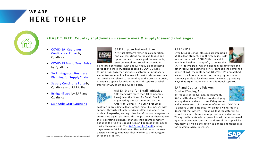

#### **P H A S E T H R E E : Country shutdowns = > remote work & supply/demand challenges**

- COVID-19 Customer [Confidence](https://www.qualtrics.com/here-to-help/?utm_source=sap&utm_medium=referral&utm_campaign=SAP-remote-work-pulse&utm_content=global-health-safety-page&customer-confidence) Pulse by **Qualtrics**
- [COVID-19 Brand Trust Pulse](https://www.qualtrics.com/m/assets/wp-content/uploads/2020/04/Brand-Trust-Pulse-overview.pdf)  by Qualtrics
- **SAP Integrated Business** Planning for Supply Chain
- [Supply Continuity Pulse](https://www.ariba.com/programs/supply-continuity-pulse?campaign%20code=CRM-IS20-PRL-OOCWA01) by Qualtrics and S A P Ariba
- [Bridge-IT](https://news.sap.com/australia/2020/04/15/sap-launches-free-app-to-cut-through-fake-news-on-covid-19/) app by S A P and Qualtrics
- **SAP Ariba Start [Sourcing](https://www.ariba.com/solutions/solutions-overview/strategic-sourcing/sap-ariba-start-sourcing)**



SAP Purpose Network Live A virtual platform fostering collaboration and conversations on the challenges and opportunities to create positive economic, environmental and social impactwithin

planetary boundaries, with a focus today on addressing solutions to the disruptions caused by COVID-19.This forum brings together partners, customers, influencers and entrepreneurs in a live event format to showcase their work with SAP related to responding to the COVID-19 crisis, providing a space for collaboration and support of relief efforts for COVID-19 on a weekly basis.



AMEX Stand for Small Initiative SAP, along with more than 40 companies, have joined the 'Stand for Small' Coalition organized by our customer and partner, American Express. The Stand for Small

coalition is providing millions of U.S. small businesses with support through valuable services, offers and access to tools and expertise, among other benefits via an easy-to-use centralized digital platform. This helps them as they reduce their operating expenses, manage their teams remotely, enhance their digital capabilities, and address other needs during this pandemic. The SAP [Stand](https://discover.sap.com/smb-offers/en-us/index.html) for Small landing page features 10 limited-time offers to help small improve decision-making, empower their workforce and navigate through disruption.

#### SAP4KIDS

Over 123,000 school closures are impacting 54.8 million students and their families. S A P has partnered with GENYOUth, the child health and wellness nonprofit, to create the



SAP4Kids Program, which helps families find food and other resources during this crisis. Through the combined power of SAP technology and GENYOUth's unmatched access to school communities, these programs aim to connect people to local resources, while also providing ways that organization can offer additional support.

#### SAP and Deutsche Telekom Contact Tracing App

By request of the German government, SAP and Deutsche Telekom are developing an app that would warn users if they come



within two meters of someone infected with COVID-19. To ensure users' data security, all data will reside in a decentralized system – meaning that the data will be stored on smartphones as opposed to a central server. The app will maintain interoperability with solutions used by other European countries, and use of the app will be voluntary, as will be the option to donate additional data for epidemiological research.

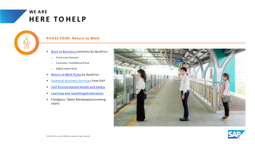

#### **P H A S E FOUR: Return to Work**

- Back to [Business](https://www.qualtrics.com/back-to-business-customer/) solutions by Qualtrics
	- Front Line Connect
	- Customer Confidence Pulse
	- Digital Open Door
- [Return](https://www.qualtrics.com/back-to-business-employee/) to Work Pulse by Qualtrics
- Essential Business Services from S A P
- SAP [Environmental](https://jam4.sapjam.com/groups/BBxtsylke49mxohW4Z0odw/documents/wUInP9DbWaSDCKa8aYOrxu/slide_viewer?_lightbox=true) Health and Safety
- [Learning and UpskillingAcceleration](https://jam4.sapjam.com/groups/rpa7rZ6qGNmJMf9vfPOOnJ/overview_page/QBvfYcsmiP5D0bFvYbiUSM)
- Fieldglass Talent Marketplace (coming soon)



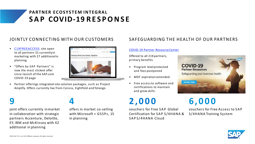## **S A P COVID-19 R E S P O N S E PARTNER ECOSYSTEM INTEGRAL**

- [C19FREEACCESS](https://community.sap.com/resources/c19freeaccess) site open to all partners 51 currentlyin marketing with 27 additionalin planning
- "Offers by SAP Partners" is now the most clicked offer since launch of the SAP.com COVID-19 page



• Partner offerings integrated into solution packages, such as Project Amplify. Offers currently live from Censia, Eightfold and Totango

**9**

#### joint offers currently inmarket in collaboration with strategic partners Accenture, Deloitte, EY, IBM and McKinsey with 42 additional in planning

## **4**

offers in market co-selling with Microsoft + GSSPs, 15 in planning

#### JOINTLY CONNECTING WITH OUR CUSTOMERS SAFEGUARDING THE HEALTH OF OUR PARTNERS

#### [COVID-19 Partner Resource](https://partneredge.sap.com/en/welcome.html?pexpRequestedURL=%2Fen%2Fpartnership%2Fmanage%2Fcovid-19_resources.html) Center

Offered to all 21Kpartners, primary benefits

- Program level protected and fees postponed
- MDF expiration extended
- Free access to software and certifications to maintain and grow skills.

## **2 , 0 0 0**

vouchers for Free SAP Global Certification for SAP S/4HANA & SAPS/4HANA Cloud



## **6 , 0 0 0**

vouchers for Free Access to S A P S/4HANA Training System